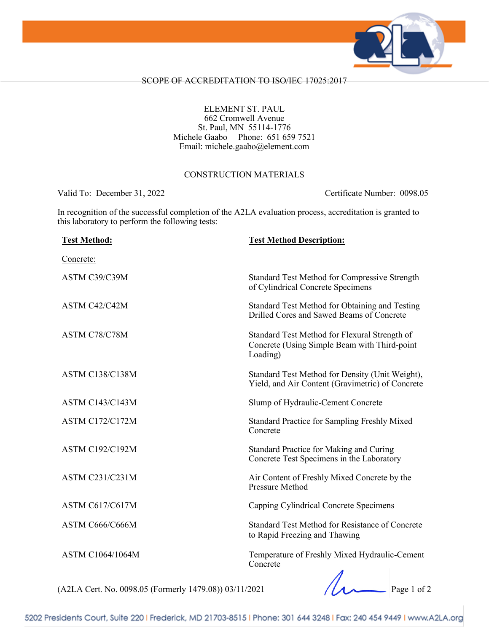

### SCOPE OF ACCREDITATION TO ISO/IEC 17025:2017

### ELEMENT ST. PAUL 662 Cromwell Avenue St. Paul, MN 55114-1776 Michele Gaabo Phone: 651 659 7521 Email: michele.gaabo@element.com

#### CONSTRUCTION MATERIALS

Valid To: December 31, 2022 Certificate Number: 0098.05

In recognition of the successful completion of the A2LA evaluation process, accreditation is granted to this laboratory to perform the following tests:

| <b>Test Method:</b>    | <b>Test Method Description:</b>                                                                           |
|------------------------|-----------------------------------------------------------------------------------------------------------|
| Concrete:              |                                                                                                           |
| ASTM C39/C39M          | Standard Test Method for Compressive Strength<br>of Cylindrical Concrete Specimens                        |
| ASTM C42/C42M          | Standard Test Method for Obtaining and Testing<br>Drilled Cores and Sawed Beams of Concrete               |
| ASTM C78/C78M          | Standard Test Method for Flexural Strength of<br>Concrete (Using Simple Beam with Third-point<br>Loading) |
| <b>ASTM C138/C138M</b> | Standard Test Method for Density (Unit Weight),<br>Yield, and Air Content (Gravimetric) of Concrete       |
| <b>ASTM C143/C143M</b> | Slump of Hydraulic-Cement Concrete                                                                        |
| <b>ASTM C172/C172M</b> | <b>Standard Practice for Sampling Freshly Mixed</b><br>Concrete                                           |
| <b>ASTM C192/C192M</b> | Standard Practice for Making and Curing<br>Concrete Test Specimens in the Laboratory                      |
| ASTM C231/C231M        | Air Content of Freshly Mixed Concrete by the<br>Pressure Method                                           |
| ASTM C617/C617M        | Capping Cylindrical Concrete Specimens                                                                    |
| ASTM C666/C666M        | Standard Test Method for Resistance of Concrete<br>to Rapid Freezing and Thawing                          |
| ASTM C1064/1064M       | Temperature of Freshly Mixed Hydraulic-Cement<br>Concrete<br>$\overline{A}$                               |

(A2LA Cert. No. 0098.05 (Formerly 1479.08)) 03/11/2021 Page 1 of 2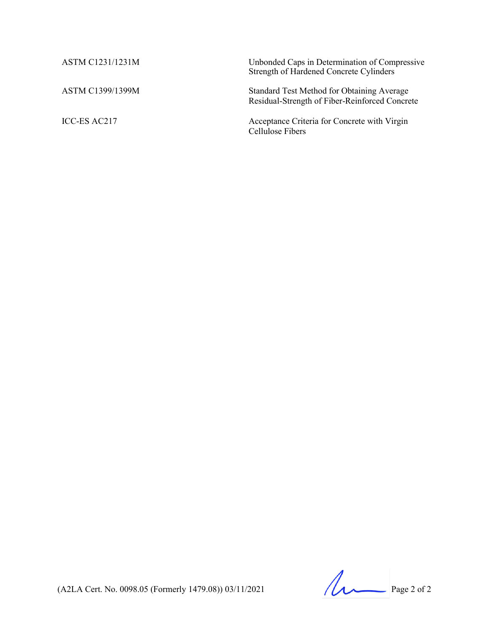| ASTM C1231/1231M | Unbonded Caps in Determination of Compressive<br>Strength of Hardened Concrete Cylinders     |
|------------------|----------------------------------------------------------------------------------------------|
| ASTM C1399/1399M | Standard Test Method for Obtaining Average<br>Residual-Strength of Fiber-Reinforced Concrete |
| ICC-ES AC217     | Acceptance Criteria for Concrete with Virgin<br>Cellulose Fibers                             |

(A2LA Cert. No. 0098.05 (Formerly 1479.08)) 03/11/2021 Page 2 of 2